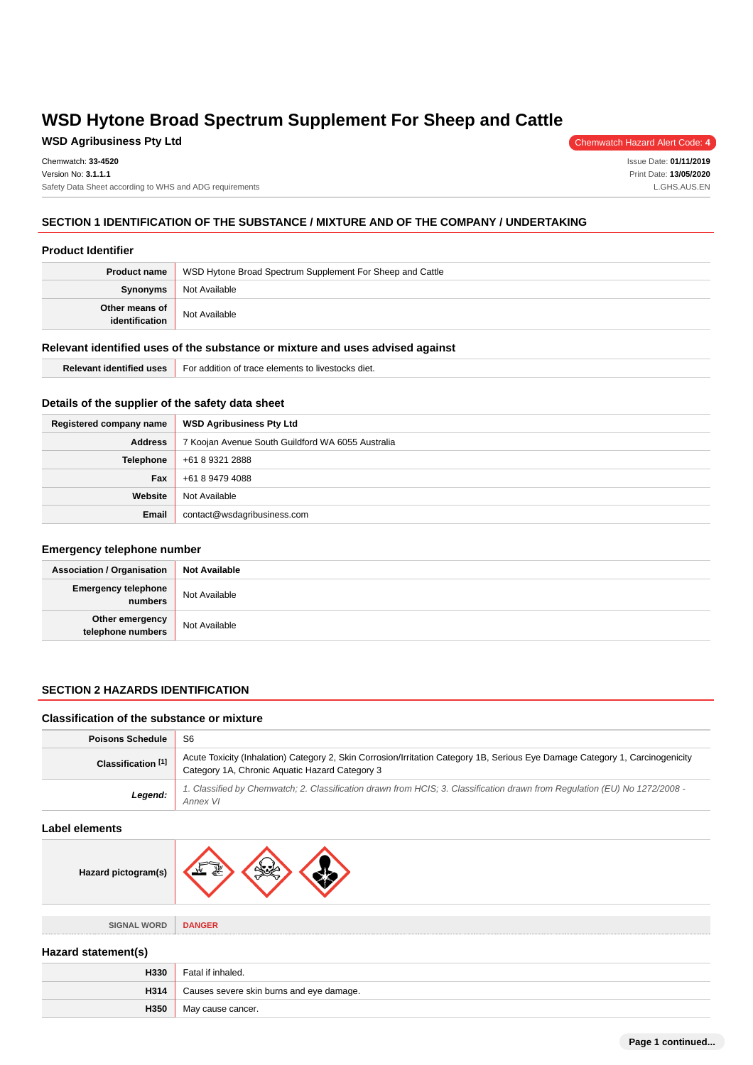# **WSD Agribusiness Pty Ltd** Chemwatch Hazard Alert Code: 4

Issue Date: **01/11/2019** Print Date: **13/05/2020** L.GHS.AUS.EN

## **SECTION 1 IDENTIFICATION OF THE SUBSTANCE / MIXTURE AND OF THE COMPANY / UNDERTAKING**

#### **Product Identifier**

| <b>Product name</b>              | WSD Hytone Broad Spectrum Supplement For Sheep and Cattle |  |  |
|----------------------------------|-----------------------------------------------------------|--|--|
| <b>Synonyms</b>                  | Not Available                                             |  |  |
| Other means of<br>identification | Not Available                                             |  |  |

#### **Relevant identified uses of the substance or mixture and uses advised against**

| .<br>Relevan<br>. uses<br>ntitlec | .<br>livestocks diet.<br>For<br>addition<br>elements<br>$"$ indu.<br>- 11. |
|-----------------------------------|----------------------------------------------------------------------------|
|-----------------------------------|----------------------------------------------------------------------------|

## **Details of the supplier of the safety data sheet**

| Registered company name | <b>WSD Agribusiness Pty Ltd</b>                   |  |  |
|-------------------------|---------------------------------------------------|--|--|
| <b>Address</b>          | 7 Koojan Avenue South Guildford WA 6055 Australia |  |  |
| Telephone               | +61 8 9321 2888                                   |  |  |
| Fax                     | +61 8 9479 4088                                   |  |  |
| Website                 | Not Available                                     |  |  |
| Email                   | contact@wsdagribusiness.com                       |  |  |

#### **Emergency telephone number**

| <b>Association / Organisation</b>     | <b>Not Available</b> |
|---------------------------------------|----------------------|
| <b>Emergency telephone</b><br>numbers | Not Available        |
| Other emergency<br>telephone numbers  | Not Available        |

## **SECTION 2 HAZARDS IDENTIFICATION**

#### **Classification of the substance or mixture**

| <b>Poisons Schedule</b>                                                                                                                                                                                          | -S6                                                                                                                                    |
|------------------------------------------------------------------------------------------------------------------------------------------------------------------------------------------------------------------|----------------------------------------------------------------------------------------------------------------------------------------|
| Acute Toxicity (Inhalation) Category 2, Skin Corrosion/Irritation Category 1B, Serious Eye Damage Category 1, Carcinogenicity<br>Classification <sup>[1]</sup><br>Category 1A, Chronic Aquatic Hazard Category 3 |                                                                                                                                        |
| Legend:                                                                                                                                                                                                          | 1. Classified by Chemwatch; 2. Classification drawn from HCIS; 3. Classification drawn from Regulation (EU) No 1272/2008 -<br>Annex VI |

#### **Label elements**

 $\frac{1}{2}$ 

| Hazard pictogram(s) | ₩             |
|---------------------|---------------|
|                     |               |
| <b>SIGNAL WORD</b>  | <b>DANGER</b> |

#### **Hazard statement(s)**

| H330 | Fatal if inhaled.                        |  |
|------|------------------------------------------|--|
| H314 | Causes severe skin burns and eye damage. |  |
| H350 | May cause cancer.                        |  |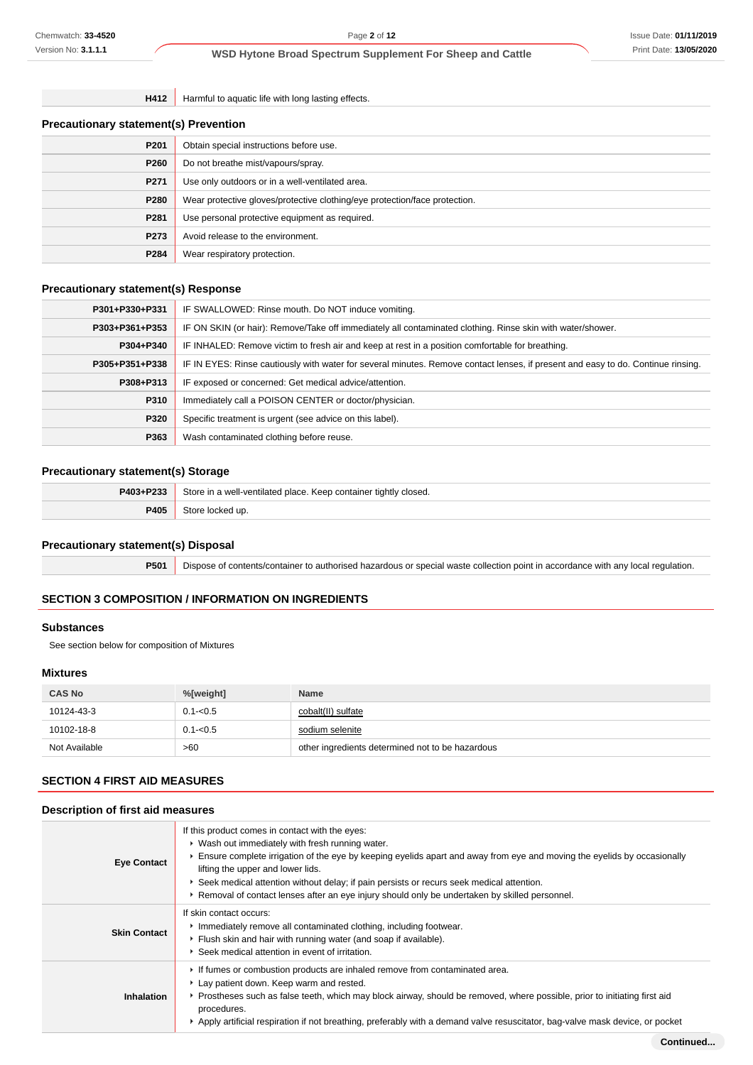**H412** Harmful to aquatic life with long lasting effects.

| <b>Precautionary statement(s) Prevention</b> |  |  |
|----------------------------------------------|--|--|
|----------------------------------------------|--|--|

| P <sub>201</sub>                          | Obtain special instructions before use.                                    |  |
|-------------------------------------------|----------------------------------------------------------------------------|--|
| P <sub>260</sub>                          | Do not breathe mist/vapours/spray.                                         |  |
| P271                                      | Use only outdoors or in a well-ventilated area.                            |  |
| P280                                      | Wear protective gloves/protective clothing/eye protection/face protection. |  |
| P281                                      | Use personal protective equipment as required.                             |  |
| P273<br>Avoid release to the environment. |                                                                            |  |
| P284                                      | Wear respiratory protection.                                               |  |

## **Precautionary statement(s) Response**

| P301+P330+P331 | IF SWALLOWED: Rinse mouth. Do NOT induce vomiting.                                                                               |  |  |
|----------------|----------------------------------------------------------------------------------------------------------------------------------|--|--|
| P303+P361+P353 | IF ON SKIN (or hair): Remove/Take off immediately all contaminated clothing. Rinse skin with water/shower.                       |  |  |
| P304+P340      | IF INHALED: Remove victim to fresh air and keep at rest in a position comfortable for breathing.                                 |  |  |
| P305+P351+P338 | IF IN EYES: Rinse cautiously with water for several minutes. Remove contact lenses, if present and easy to do. Continue rinsing. |  |  |
| P308+P313      | IF exposed or concerned: Get medical advice/attention.                                                                           |  |  |
| P310           | Immediately call a POISON CENTER or doctor/physician.                                                                            |  |  |
| P320           | Specific treatment is urgent (see advice on this label).                                                                         |  |  |
| P363           | Wash contaminated clothing before reuse.                                                                                         |  |  |

#### **Precautionary statement(s) Storage**

| P403+P233 | Store in a well-ventilated place. Keep container tightly closed. |  |
|-----------|------------------------------------------------------------------|--|
| 2405      | . locked up.                                                     |  |

## **Precautionary statement(s) Disposal**

**P501** Dispose of contents/container to authorised hazardous or special waste collection point in accordance with any local regulation.

## **SECTION 3 COMPOSITION / INFORMATION ON INGREDIENTS**

#### **Substances**

See section below for composition of Mixtures

## **Mixtures**

| <b>CAS No</b> | %[weight]   | <b>Name</b>                                      |
|---------------|-------------|--------------------------------------------------|
| 10124-43-3    | $0.1 - 0.5$ | cobalt(II) sulfate                               |
| 10102-18-8    | $0.1 - 0.5$ | sodium selenite                                  |
| Not Available | >60         | other ingredients determined not to be hazardous |

## **SECTION 4 FIRST AID MEASURES**

## **Description of first aid measures**

| <b>Eye Contact</b>  | If this product comes in contact with the eyes:<br>▶ Wash out immediately with fresh running water.<br>Ensure complete irrigation of the eye by keeping eyelids apart and away from eye and moving the eyelids by occasionally<br>lifting the upper and lower lids.<br>▶ Seek medical attention without delay; if pain persists or recurs seek medical attention.<br>▶ Removal of contact lenses after an eye injury should only be undertaken by skilled personnel. |
|---------------------|----------------------------------------------------------------------------------------------------------------------------------------------------------------------------------------------------------------------------------------------------------------------------------------------------------------------------------------------------------------------------------------------------------------------------------------------------------------------|
| <b>Skin Contact</b> | If skin contact occurs:<br>Inmediately remove all contaminated clothing, including footwear.<br>Flush skin and hair with running water (and soap if available).<br>Seek medical attention in event of irritation.                                                                                                                                                                                                                                                    |
| Inhalation          | If fumes or combustion products are inhaled remove from contaminated area.<br>Lay patient down. Keep warm and rested.<br>▶ Prostheses such as false teeth, which may block airway, should be removed, where possible, prior to initiating first aid<br>procedures.<br>▶ Apply artificial respiration if not breathing, preferably with a demand valve resuscitator, bag-valve mask device, or pocket                                                                 |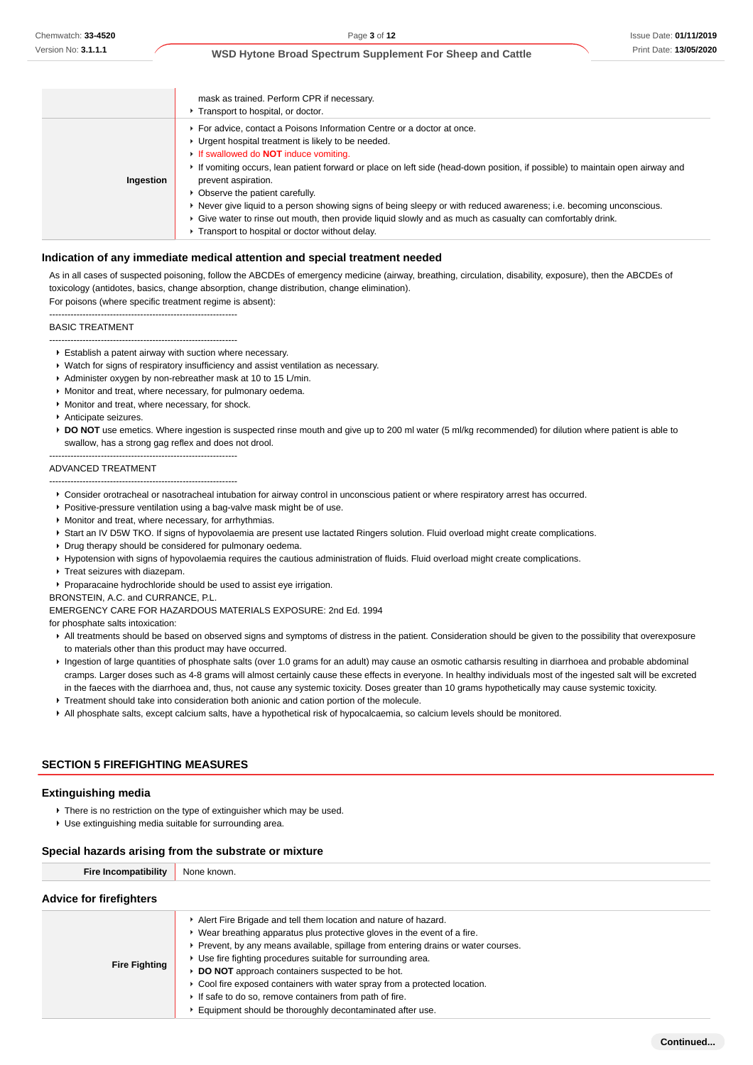|           | mask as trained. Perform CPR if necessary.<br>▶ Transport to hospital, or doctor.                                                                                                                                                                                                                                                                                                                                                                                                                                                                                                                                                                               |
|-----------|-----------------------------------------------------------------------------------------------------------------------------------------------------------------------------------------------------------------------------------------------------------------------------------------------------------------------------------------------------------------------------------------------------------------------------------------------------------------------------------------------------------------------------------------------------------------------------------------------------------------------------------------------------------------|
| Ingestion | ▶ For advice, contact a Poisons Information Centre or a doctor at once.<br>• Urgent hospital treatment is likely to be needed.<br>If swallowed do <b>NOT</b> induce vomiting.<br>If vomiting occurs, lean patient forward or place on left side (head-down position, if possible) to maintain open airway and<br>prevent aspiration.<br>• Observe the patient carefully.<br>▶ Never give liquid to a person showing signs of being sleepy or with reduced awareness; i.e. becoming unconscious.<br>► Give water to rinse out mouth, then provide liquid slowly and as much as casualty can comfortably drink.<br>Transport to hospital or doctor without delay. |

#### **Indication of any immediate medical attention and special treatment needed**

As in all cases of suspected poisoning, follow the ABCDEs of emergency medicine (airway, breathing, circulation, disability, exposure), then the ABCDEs of toxicology (antidotes, basics, change absorption, change distribution, change elimination).

For poisons (where specific treatment regime is absent): --------------------------------------------------------------

#### BASIC TREATMENT

- --------------------------------------------------------------
- Establish a patent airway with suction where necessary.
- Watch for signs of respiratory insufficiency and assist ventilation as necessary.
- Administer oxygen by non-rebreather mask at 10 to 15 L/min.
- **Monitor and treat, where necessary, for pulmonary oedema.**
- **Monitor and treat, where necessary, for shock.**
- **Anticipate seizures**
- **▶ DO NOT** use emetics. Where ingestion is suspected rinse mouth and give up to 200 ml water (5 ml/kg recommended) for dilution where patient is able to swallow, has a strong gag reflex and does not drool.

-------------------------------------------------------------- ADVANCED TREATMENT

- --------------------------------------------------------------
- Consider orotracheal or nasotracheal intubation for airway control in unconscious patient or where respiratory arrest has occurred.
- **Positive-pressure ventilation using a bag-valve mask might be of use.**
- Monitor and treat, where necessary, for arrhythmias.
- ▶ Start an IV D5W TKO. If signs of hypovolaemia are present use lactated Ringers solution. Fluid overload might create complications.
- Drug therapy should be considered for pulmonary oedema.
- Hypotension with signs of hypovolaemia requires the cautious administration of fluids. Fluid overload might create complications.
- **Treat seizures with diazepam.**
- Proparacaine hydrochloride should be used to assist eye irrigation.

BRONSTEIN, A.C. and CURRANCE, P.L.

EMERGENCY CARE FOR HAZARDOUS MATERIALS EXPOSURE: 2nd Ed. 1994

for phosphate salts intoxication:

- All treatments should be based on observed signs and symptoms of distress in the patient. Consideration should be given to the possibility that overexposure to materials other than this product may have occurred.
- Ingestion of large quantities of phosphate salts (over 1.0 grams for an adult) may cause an osmotic catharsis resulting in diarrhoea and probable abdominal cramps. Larger doses such as 4-8 grams will almost certainly cause these effects in everyone. In healthy individuals most of the ingested salt will be excreted in the faeces with the diarrhoea and, thus, not cause any systemic toxicity. Doses greater than 10 grams hypothetically may cause systemic toxicity.
- **F** Treatment should take into consideration both anionic and cation portion of the molecule.
- All phosphate salts, except calcium salts, have a hypothetical risk of hypocalcaemia, so calcium levels should be monitored.

#### **SECTION 5 FIREFIGHTING MEASURES**

#### **Extinguishing media**

- There is no restriction on the type of extinguisher which may be used.
- Use extinguishing media suitable for surrounding area.

#### **Special hazards arising from the substrate or mixture**

| <b>Fire Incompatibility</b>    | None known.                                                                                                                                                                                                                                                                                                                                                                                                                                                                                                                                                |
|--------------------------------|------------------------------------------------------------------------------------------------------------------------------------------------------------------------------------------------------------------------------------------------------------------------------------------------------------------------------------------------------------------------------------------------------------------------------------------------------------------------------------------------------------------------------------------------------------|
| <b>Advice for firefighters</b> |                                                                                                                                                                                                                                                                                                                                                                                                                                                                                                                                                            |
| <b>Fire Fighting</b>           | Alert Fire Brigade and tell them location and nature of hazard.<br>• Wear breathing apparatus plus protective gloves in the event of a fire.<br>► Prevent, by any means available, spillage from entering drains or water courses.<br>▶ Use fire fighting procedures suitable for surrounding area.<br>DO NOT approach containers suspected to be hot.<br>► Cool fire exposed containers with water spray from a protected location.<br>If safe to do so, remove containers from path of fire.<br>Equipment should be thoroughly decontaminated after use. |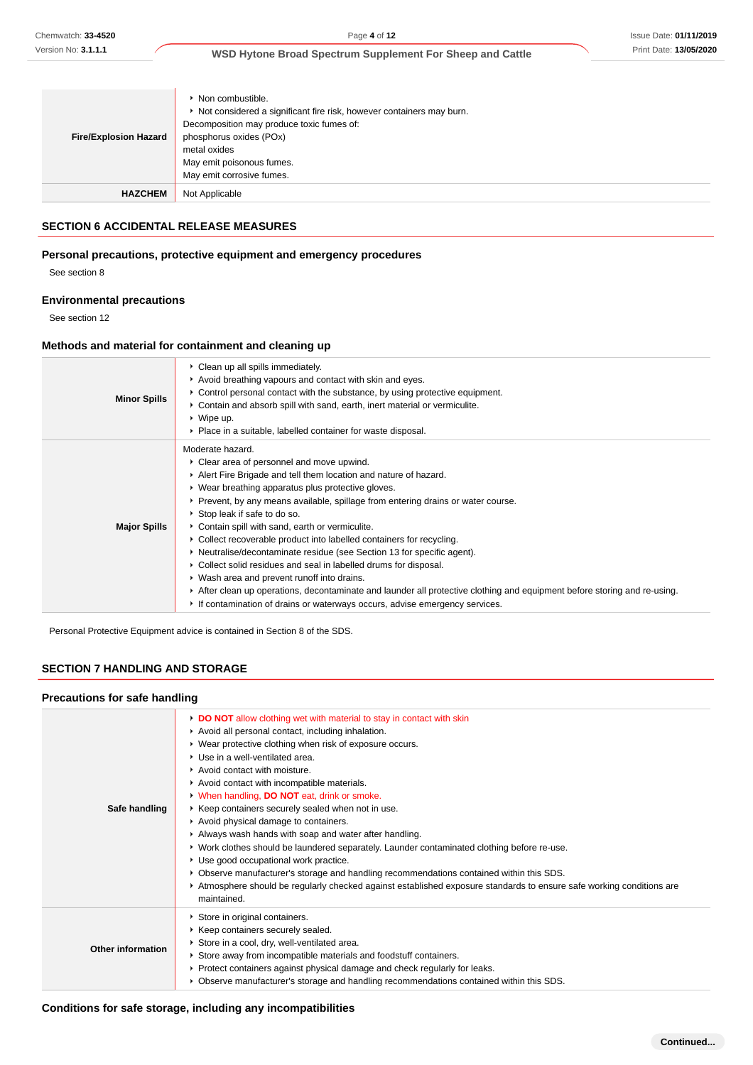| <b>Fire/Explosion Hazard</b> | $\triangleright$ Non combustible.<br>▶ Not considered a significant fire risk, however containers may burn.<br>Decomposition may produce toxic fumes of:<br>phosphorus oxides (POx)<br>metal oxides<br>May emit poisonous fumes.<br>May emit corrosive fumes. |
|------------------------------|---------------------------------------------------------------------------------------------------------------------------------------------------------------------------------------------------------------------------------------------------------------|
| <b>HAZCHEM</b>               | Not Applicable                                                                                                                                                                                                                                                |

#### **SECTION 6 ACCIDENTAL RELEASE MEASURES**

## **Personal precautions, protective equipment and emergency procedures**

See section 8

### **Environmental precautions**

See section 12

## **Methods and material for containment and cleaning up**

| <b>Minor Spills</b> | • Clean up all spills immediately.<br>Avoid breathing vapours and contact with skin and eyes.<br>► Control personal contact with the substance, by using protective equipment.<br>► Contain and absorb spill with sand, earth, inert material or vermiculite.<br>$\triangleright$ Wipe up.<br>• Place in a suitable, labelled container for waste disposal.                                                                                                                                                                                                                                                                                                                                                                                                                                                                                    |
|---------------------|------------------------------------------------------------------------------------------------------------------------------------------------------------------------------------------------------------------------------------------------------------------------------------------------------------------------------------------------------------------------------------------------------------------------------------------------------------------------------------------------------------------------------------------------------------------------------------------------------------------------------------------------------------------------------------------------------------------------------------------------------------------------------------------------------------------------------------------------|
| <b>Major Spills</b> | Moderate hazard.<br>• Clear area of personnel and move upwind.<br>Alert Fire Brigade and tell them location and nature of hazard.<br>• Wear breathing apparatus plus protective gloves.<br>► Prevent, by any means available, spillage from entering drains or water course.<br>▶ Stop leak if safe to do so.<br>Contain spill with sand, earth or vermiculite.<br>• Collect recoverable product into labelled containers for recycling.<br>• Neutralise/decontaminate residue (see Section 13 for specific agent).<br>Collect solid residues and seal in labelled drums for disposal.<br>• Wash area and prevent runoff into drains.<br>After clean up operations, decontaminate and launder all protective clothing and equipment before storing and re-using.<br>If contamination of drains or waterways occurs, advise emergency services. |

Personal Protective Equipment advice is contained in Section 8 of the SDS.

## **SECTION 7 HANDLING AND STORAGE**

#### **Precautions for safe handling**

| Safe handling            | DO NOT allow clothing wet with material to stay in contact with skin<br>Avoid all personal contact, including inhalation.<br>▶ Wear protective clothing when risk of exposure occurs.<br>▶ Use in a well-ventilated area.<br>Avoid contact with moisture.<br>Avoid contact with incompatible materials.<br>V When handling, DO NOT eat, drink or smoke.<br>▶ Keep containers securely sealed when not in use.<br>Avoid physical damage to containers.<br>Always wash hands with soap and water after handling.<br>▶ Work clothes should be laundered separately. Launder contaminated clothing before re-use.<br>Use good occupational work practice.<br>▶ Observe manufacturer's storage and handling recommendations contained within this SDS.<br>Atmosphere should be regularly checked against established exposure standards to ensure safe working conditions are<br>maintained. |
|--------------------------|-----------------------------------------------------------------------------------------------------------------------------------------------------------------------------------------------------------------------------------------------------------------------------------------------------------------------------------------------------------------------------------------------------------------------------------------------------------------------------------------------------------------------------------------------------------------------------------------------------------------------------------------------------------------------------------------------------------------------------------------------------------------------------------------------------------------------------------------------------------------------------------------|
| <b>Other information</b> | Store in original containers.<br>▶ Keep containers securely sealed.<br>Store in a cool, dry, well-ventilated area.<br>Store away from incompatible materials and foodstuff containers.<br>► Protect containers against physical damage and check regularly for leaks.<br>▶ Observe manufacturer's storage and handling recommendations contained within this SDS.                                                                                                                                                                                                                                                                                                                                                                                                                                                                                                                       |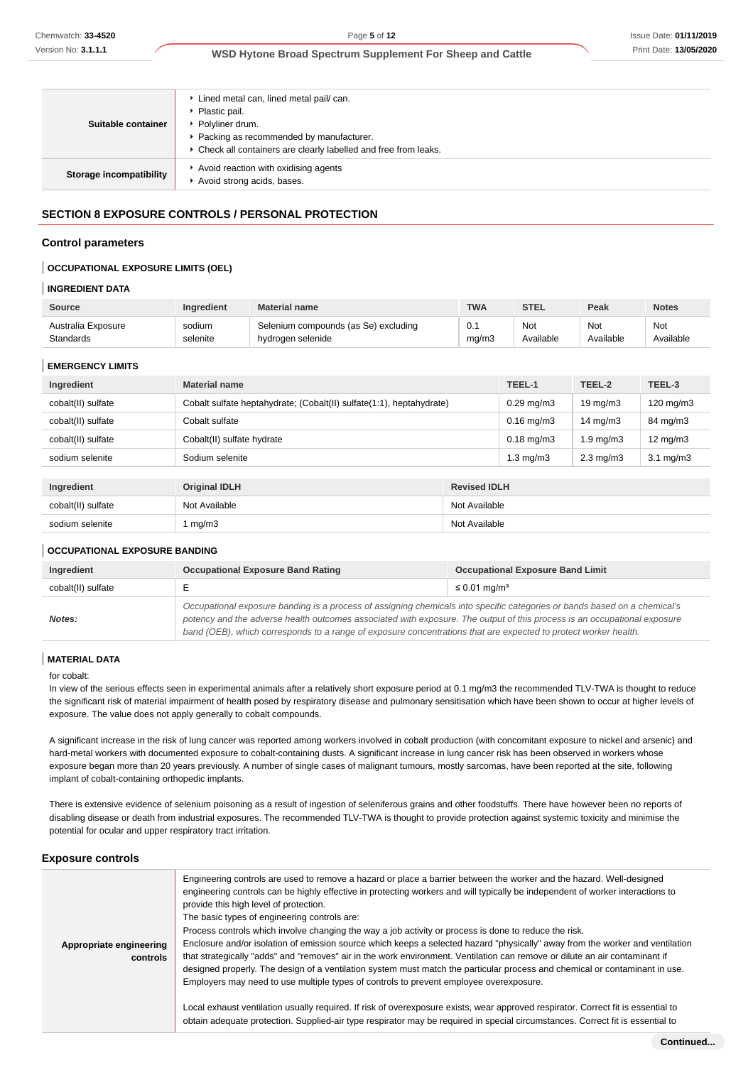| • Check all containers are clearly labelled and free from leaks.<br>Avoid reaction with oxidising agents<br>Storage incompatibility | Suitable container | Lined metal can, lined metal pail/ can.<br>• Plastic pail.<br>▶ Polyliner drum.<br>Packing as recommended by manufacturer. |
|-------------------------------------------------------------------------------------------------------------------------------------|--------------------|----------------------------------------------------------------------------------------------------------------------------|
|                                                                                                                                     |                    | Avoid strong acids, bases.                                                                                                 |

## **SECTION 8 EXPOSURE CONTROLS / PERSONAL PROTECTION**

#### **Control parameters**

#### **OCCUPATIONAL EXPOSURE LIMITS (OEL)**

#### **INGREDIENT DATA**

| <b>Source</b>      | <b>Ingredient</b> | <b>Material name</b>                 | <b>TWA</b> | <b>STEL</b> | Peak      | <b>Notes</b> |
|--------------------|-------------------|--------------------------------------|------------|-------------|-----------|--------------|
| Australia Exposure | sodium            | Selenium compounds (as Se) excluding | 0.1        | <b>Not</b>  | Not       | Not          |
| Standards          | selenite          | hydrogen selenide                    | mg/m3      | Available   | Available | Available    |

#### **EMERGENCY LIMITS**

| Ingredient         | <b>Material name</b>                                                 |                     | TEEL-1                   | TEEL-2             | TEEL-3             |
|--------------------|----------------------------------------------------------------------|---------------------|--------------------------|--------------------|--------------------|
| cobalt(II) sulfate | Cobalt sulfate heptahydrate; (Cobalt(II) sulfate(1:1), heptahydrate) |                     | $0.29 \,\mathrm{mq/m3}$  | $19 \text{ mg/m}$  | $120 \text{ mg/m}$ |
| cobalt(II) sulfate | Cobalt sulfate                                                       |                     |                          |                    | 84 mg/m3           |
| cobalt(II) sulfate | Cobalt(II) sulfate hydrate                                           |                     | $0.18 \,\mathrm{mq/m}$ 3 | $1.9 \text{ mg/m}$ | $12 \text{ mg/m}$  |
| sodium selenite    | Sodium selenite                                                      |                     | $1.3 \text{ mg/m}$       | $2.3 \text{ mg/m}$ | $3.1 \text{ mg/m}$ |
|                    |                                                                      |                     |                          |                    |                    |
| Ingredient         | <b>Original IDLH</b>                                                 | <b>Revised IDLH</b> |                          |                    |                    |
| cobalt(II) sulfate | Not Available                                                        | Not Available       |                          |                    |                    |

#### **OCCUPATIONAL EXPOSURE BANDING**

| Ingredient         | <b>Occupational Exposure Band Rating</b>                                                                                                                                                                                                                                                                                                                                 | <b>Occupational Exposure Band Limit</b> |  |
|--------------------|--------------------------------------------------------------------------------------------------------------------------------------------------------------------------------------------------------------------------------------------------------------------------------------------------------------------------------------------------------------------------|-----------------------------------------|--|
| cobalt(II) sulfate |                                                                                                                                                                                                                                                                                                                                                                          | ≤ 0.01 mg/m <sup>3</sup>                |  |
| Notes:             | Occupational exposure banding is a process of assigning chemicals into specific categories or bands based on a chemical's<br>potency and the adverse health outcomes associated with exposure. The output of this process is an occupational exposure<br>band (OEB), which corresponds to a range of exposure concentrations that are expected to protect worker health. |                                         |  |

sodium selenite 1 mg/m3 1 mg/m3 Not Available

#### **MATERIAL DATA**

#### for cobalt:

In view of the serious effects seen in experimental animals after a relatively short exposure period at 0.1 mg/m3 the recommended TLV-TWA is thought to reduce the significant risk of material impairment of health posed by respiratory disease and pulmonary sensitisation which have been shown to occur at higher levels of exposure. The value does not apply generally to cobalt compounds.

A significant increase in the risk of lung cancer was reported among workers involved in cobalt production (with concomitant exposure to nickel and arsenic) and hard-metal workers with documented exposure to cobalt-containing dusts. A significant increase in lung cancer risk has been observed in workers whose exposure began more than 20 years previously. A number of single cases of malignant tumours, mostly sarcomas, have been reported at the site, following implant of cobalt-containing orthopedic implants.

There is extensive evidence of selenium poisoning as a result of ingestion of seleniferous grains and other foodstuffs. There have however been no reports of disabling disease or death from industrial exposures. The recommended TLV-TWA is thought to provide protection against systemic toxicity and minimise the potential for ocular and upper respiratory tract irritation.

#### **Exposure controls**

| Appropriate engineering<br>controls | Engineering controls are used to remove a hazard or place a barrier between the worker and the hazard. Well-designed<br>engineering controls can be highly effective in protecting workers and will typically be independent of worker interactions to<br>provide this high level of protection.<br>The basic types of engineering controls are:<br>Process controls which involve changing the way a job activity or process is done to reduce the risk.<br>Enclosure and/or isolation of emission source which keeps a selected hazard "physically" away from the worker and ventilation<br>that strategically "adds" and "removes" air in the work environment. Ventilation can remove or dilute an air contaminant if<br>designed properly. The design of a ventilation system must match the particular process and chemical or contaminant in use.<br>Employers may need to use multiple types of controls to prevent employee overexposure.<br>Local exhaust ventilation usually required. If risk of overexposure exists, wear approved respirator. Correct fit is essential to<br>obtain adequate protection. Supplied-air type respirator may be required in special circumstances. Correct fit is essential to |
|-------------------------------------|---------------------------------------------------------------------------------------------------------------------------------------------------------------------------------------------------------------------------------------------------------------------------------------------------------------------------------------------------------------------------------------------------------------------------------------------------------------------------------------------------------------------------------------------------------------------------------------------------------------------------------------------------------------------------------------------------------------------------------------------------------------------------------------------------------------------------------------------------------------------------------------------------------------------------------------------------------------------------------------------------------------------------------------------------------------------------------------------------------------------------------------------------------------------------------------------------------------------------|
|                                     |                                                                                                                                                                                                                                                                                                                                                                                                                                                                                                                                                                                                                                                                                                                                                                                                                                                                                                                                                                                                                                                                                                                                                                                                                           |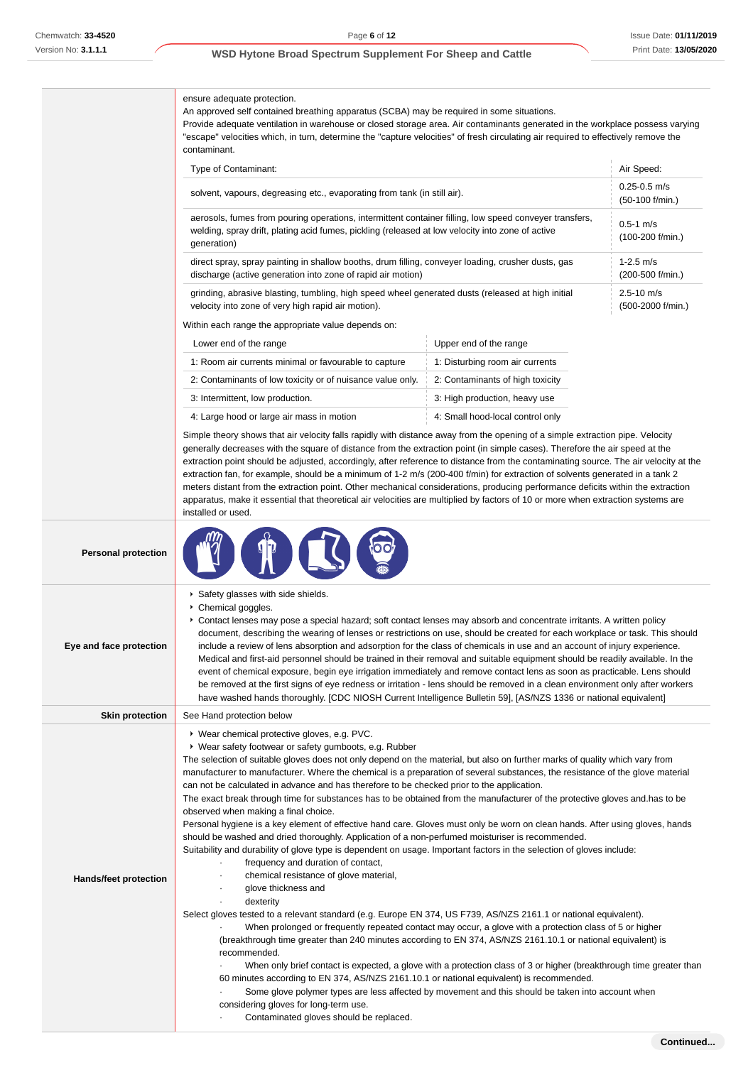ensure adequate protection.

An approved self contained breathing apparatus (SCBA) may be required in some situations.

Provide adequate ventilation in warehouse or closed storage area. Air contaminants generated in the workplace possess varying "escape" velocities which, in turn, determine the "capture velocities" of fresh circulating air required to effectively remove the contaminant.

| Type of Contaminant:                                                                                                                                                                                                      | Air Speed:                             |
|---------------------------------------------------------------------------------------------------------------------------------------------------------------------------------------------------------------------------|----------------------------------------|
| solvent, vapours, degreasing etc., evaporating from tank (in still air).                                                                                                                                                  | $0.25 - 0.5$ m/s<br>$(50-100)$ f/min.) |
| aerosols, fumes from pouring operations, intermittent container filling, low speed conveyer transfers,<br>welding, spray drift, plating acid fumes, pickling (released at low velocity into zone of active<br>generation) | $0.5 - 1$ m/s<br>$(100-200$ f/min.)    |
| direct spray, spray painting in shallow booths, drum filling, conveyer loading, crusher dusts, gas<br>discharge (active generation into zone of rapid air motion)                                                         | $1-2.5$ m/s<br>(200-500 f/min.)        |
| grinding, abrasive blasting, tumbling, high speed wheel generated dusts (released at high initial<br>velocity into zone of very high rapid air motion).                                                                   | $2.5 - 10$ m/s<br>(500-2000 f/min.)    |
| Within ongh range the appropriate value depends on:                                                                                                                                                                       |                                        |

Within each range the appropriate value depends on:

| Lower end of the range                                     | Upper end of the range           |
|------------------------------------------------------------|----------------------------------|
| 1: Room air currents minimal or favourable to capture      | 1: Disturbing room air currents  |
| 2: Contaminants of low toxicity or of nuisance value only. | 2: Contaminants of high toxicity |
| 3: Intermittent, low production.                           | 3: High production, heavy use    |
| 4: Large hood or large air mass in motion                  | 4: Small hood-local control only |

Simple theory shows that air velocity falls rapidly with distance away from the opening of a simple extraction pipe. Velocity generally decreases with the square of distance from the extraction point (in simple cases). Therefore the air speed at the extraction point should be adjusted, accordingly, after reference to distance from the contaminating source. The air velocity at the extraction fan, for example, should be a minimum of 1-2 m/s (200-400 f/min) for extraction of solvents generated in a tank 2 meters distant from the extraction point. Other mechanical considerations, producing performance deficits within the extraction apparatus, make it essential that theoretical air velocities are multiplied by factors of 10 or more when extraction systems are installed or used.

| <b>Personal protection</b>   |                                                                                                                                                                                                                                                                                                                                                                                                                                                                                                                                                                                                                                                                                                                                                                                                                                                                                                                                                                                                                                                                                                                                                                                                                                                                                                                                                                                                                                                                                                                                                                                                                                                                                                                                                                                                                                                                                                         |
|------------------------------|---------------------------------------------------------------------------------------------------------------------------------------------------------------------------------------------------------------------------------------------------------------------------------------------------------------------------------------------------------------------------------------------------------------------------------------------------------------------------------------------------------------------------------------------------------------------------------------------------------------------------------------------------------------------------------------------------------------------------------------------------------------------------------------------------------------------------------------------------------------------------------------------------------------------------------------------------------------------------------------------------------------------------------------------------------------------------------------------------------------------------------------------------------------------------------------------------------------------------------------------------------------------------------------------------------------------------------------------------------------------------------------------------------------------------------------------------------------------------------------------------------------------------------------------------------------------------------------------------------------------------------------------------------------------------------------------------------------------------------------------------------------------------------------------------------------------------------------------------------------------------------------------------------|
| Eye and face protection      | Safety glasses with side shields.<br>Chemical goggles.<br>▶ Contact lenses may pose a special hazard; soft contact lenses may absorb and concentrate irritants. A written policy<br>document, describing the wearing of lenses or restrictions on use, should be created for each workplace or task. This should<br>include a review of lens absorption and adsorption for the class of chemicals in use and an account of injury experience.<br>Medical and first-aid personnel should be trained in their removal and suitable equipment should be readily available. In the<br>event of chemical exposure, begin eye irrigation immediately and remove contact lens as soon as practicable. Lens should<br>be removed at the first signs of eye redness or irritation - lens should be removed in a clean environment only after workers<br>have washed hands thoroughly. [CDC NIOSH Current Intelligence Bulletin 59], [AS/NZS 1336 or national equivalent]                                                                                                                                                                                                                                                                                                                                                                                                                                                                                                                                                                                                                                                                                                                                                                                                                                                                                                                                         |
| <b>Skin protection</b>       | See Hand protection below                                                                                                                                                                                                                                                                                                                                                                                                                                                                                                                                                                                                                                                                                                                                                                                                                                                                                                                                                                                                                                                                                                                                                                                                                                                                                                                                                                                                                                                                                                                                                                                                                                                                                                                                                                                                                                                                               |
| <b>Hands/feet protection</b> | ▶ Wear chemical protective gloves, e.g. PVC.<br>• Wear safety footwear or safety gumboots, e.g. Rubber<br>The selection of suitable gloves does not only depend on the material, but also on further marks of quality which vary from<br>manufacturer to manufacturer. Where the chemical is a preparation of several substances, the resistance of the glove material<br>can not be calculated in advance and has therefore to be checked prior to the application.<br>The exact break through time for substances has to be obtained from the manufacturer of the protective gloves and has to be<br>observed when making a final choice.<br>Personal hygiene is a key element of effective hand care. Gloves must only be worn on clean hands. After using gloves, hands<br>should be washed and dried thoroughly. Application of a non-perfumed moisturiser is recommended.<br>Suitability and durability of glove type is dependent on usage. Important factors in the selection of gloves include:<br>frequency and duration of contact,<br>chemical resistance of glove material,<br>glove thickness and<br>dexterity<br>Select gloves tested to a relevant standard (e.g. Europe EN 374, US F739, AS/NZS 2161.1 or national equivalent).<br>When prolonged or frequently repeated contact may occur, a glove with a protection class of 5 or higher<br>(breakthrough time greater than 240 minutes according to EN 374, AS/NZS 2161.10.1 or national equivalent) is<br>recommended.<br>When only brief contact is expected, a glove with a protection class of 3 or higher (breakthrough time greater than<br>60 minutes according to EN 374, AS/NZS 2161.10.1 or national equivalent) is recommended.<br>Some glove polymer types are less affected by movement and this should be taken into account when<br>considering gloves for long-term use.<br>Contaminated gloves should be replaced. |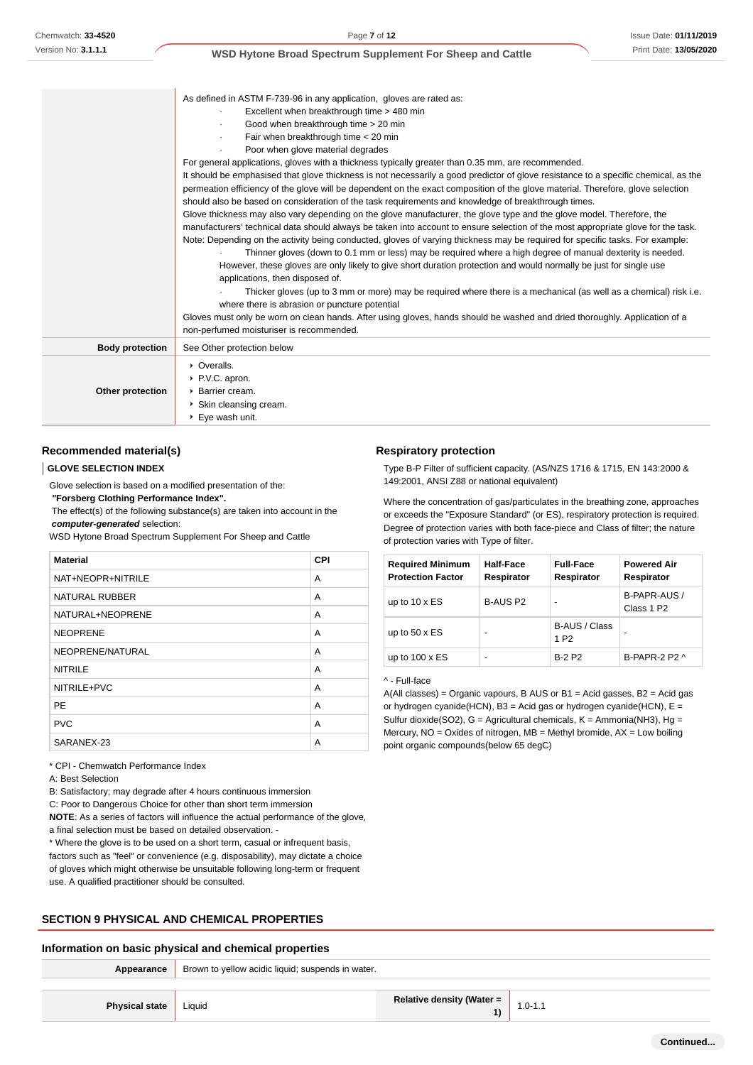|                        | As defined in ASTM F-739-96 in any application, gloves are rated as:                                                                                                                                                                                                                                                                                                                                |
|------------------------|-----------------------------------------------------------------------------------------------------------------------------------------------------------------------------------------------------------------------------------------------------------------------------------------------------------------------------------------------------------------------------------------------------|
|                        | Excellent when breakthrough time > 480 min                                                                                                                                                                                                                                                                                                                                                          |
|                        | Good when breakthrough time > 20 min                                                                                                                                                                                                                                                                                                                                                                |
|                        | Fair when breakthrough time < 20 min                                                                                                                                                                                                                                                                                                                                                                |
|                        | Poor when glove material degrades                                                                                                                                                                                                                                                                                                                                                                   |
|                        | For general applications, gloves with a thickness typically greater than 0.35 mm, are recommended.                                                                                                                                                                                                                                                                                                  |
|                        | It should be emphasised that glove thickness is not necessarily a good predictor of glove resistance to a specific chemical, as the<br>permeation efficiency of the glove will be dependent on the exact composition of the glove material. Therefore, glove selection<br>should also be based on consideration of the task requirements and knowledge of breakthrough times.                       |
|                        | Glove thickness may also vary depending on the glove manufacturer, the glove type and the glove model. Therefore, the                                                                                                                                                                                                                                                                               |
|                        | manufacturers' technical data should always be taken into account to ensure selection of the most appropriate glove for the task.                                                                                                                                                                                                                                                                   |
|                        | Note: Depending on the activity being conducted, gloves of varying thickness may be required for specific tasks. For example:<br>Thinner gloves (down to 0.1 mm or less) may be required where a high degree of manual dexterity is needed.<br>However, these gloves are only likely to give short duration protection and would normally be just for single use<br>applications, then disposed of. |
|                        | Thicker gloves (up to 3 mm or more) may be required where there is a mechanical (as well as a chemical) risk i.e.<br>where there is abrasion or puncture potential                                                                                                                                                                                                                                  |
|                        | Gloves must only be worn on clean hands. After using gloves, hands should be washed and dried thoroughly. Application of a<br>non-perfumed moisturiser is recommended.                                                                                                                                                                                                                              |
| <b>Body protection</b> | See Other protection below                                                                                                                                                                                                                                                                                                                                                                          |
| Other protection       | • Overalls.<br>▶ P.V.C. apron.<br>▶ Barrier cream.<br>Skin cleansing cream.                                                                                                                                                                                                                                                                                                                         |
|                        | ▶ Eye wash unit.                                                                                                                                                                                                                                                                                                                                                                                    |

#### **Recommended material(s)**

#### **GLOVE SELECTION INDEX**

Glove selection is based on a modified presentation of the:  **"Forsberg Clothing Performance Index".**

 The effect(s) of the following substance(s) are taken into account in the **computer-generated** selection:

WSD Hytone Broad Spectrum Supplement For Sheep and Cattle

| <b>Material</b>       | <b>CPI</b> |
|-----------------------|------------|
| NAT+NEOPR+NITRILE     | A          |
| <b>NATURAL RUBBER</b> | A          |
| NATURAL+NEOPRENE      | A          |
| <b>NEOPRENE</b>       | A          |
| NEOPRENE/NATURAL      | A          |
| <b>NITRILE</b>        | A          |
| NITRILE+PVC           | A          |
| <b>PE</b>             | A          |
| <b>PVC</b>            | A          |
| SARANEX-23            | A          |

\* CPI - Chemwatch Performance Index

A: Best Selection

B: Satisfactory; may degrade after 4 hours continuous immersion

C: Poor to Dangerous Choice for other than short term immersion

**NOTE**: As a series of factors will influence the actual performance of the glove,

a final selection must be based on detailed observation. -

\* Where the glove is to be used on a short term, casual or infrequent basis, factors such as "feel" or convenience (e.g. disposability), may dictate a choice of gloves which might otherwise be unsuitable following long-term or frequent use. A qualified practitioner should be consulted.

## **SECTION 9 PHYSICAL AND CHEMICAL PROPERTIES**

#### **Information on basic physical and chemical properties**

Appearance **Brown to yellow acidic liquid**; suspends in water.

| <b>Physical state</b>   Liquid |  | <b>Relative density (Water =</b> | $1.0 - 1.1$ |
|--------------------------------|--|----------------------------------|-------------|
|--------------------------------|--|----------------------------------|-------------|

#### **Respiratory protection**

Type B-P Filter of sufficient capacity. (AS/NZS 1716 & 1715, EN 143:2000 & 149:2001, ANSI Z88 or national equivalent)

Where the concentration of gas/particulates in the breathing zone, approaches or exceeds the "Exposure Standard" (or ES), respiratory protection is required. Degree of protection varies with both face-piece and Class of filter; the nature of protection varies with Type of filter.

| <b>Required Minimum</b><br><b>Protection Factor</b> | <b>Half-Face</b><br>Respirator | <b>Full-Face</b><br>Respirator    | <b>Powered Air</b><br>Respirator       |
|-----------------------------------------------------|--------------------------------|-----------------------------------|----------------------------------------|
| up to $10 \times ES$                                | B-AUS P2                       | -                                 | B-PAPR-AUS /<br>Class 1 P <sub>2</sub> |
| up to $50 \times ES$                                | -                              | B-AUS / Class<br>1 P <sub>2</sub> |                                        |
| up to $100 \times ES$                               | -                              | <b>B-2 P2</b>                     | B-PAPR-2 P2 ^                          |

^ - Full-face

A(All classes) = Organic vapours, B AUS or B1 = Acid gasses, B2 = Acid gas or hydrogen cyanide(HCN),  $B3$  = Acid gas or hydrogen cyanide(HCN),  $E =$ Sulfur dioxide(SO2), G = Agricultural chemicals, K = Ammonia(NH3), Hg = Mercury,  $NO = Oxides$  of nitrogen,  $MB = Methyl$  bromide,  $AX = Low$  boiling point organic compounds(below 65 degC)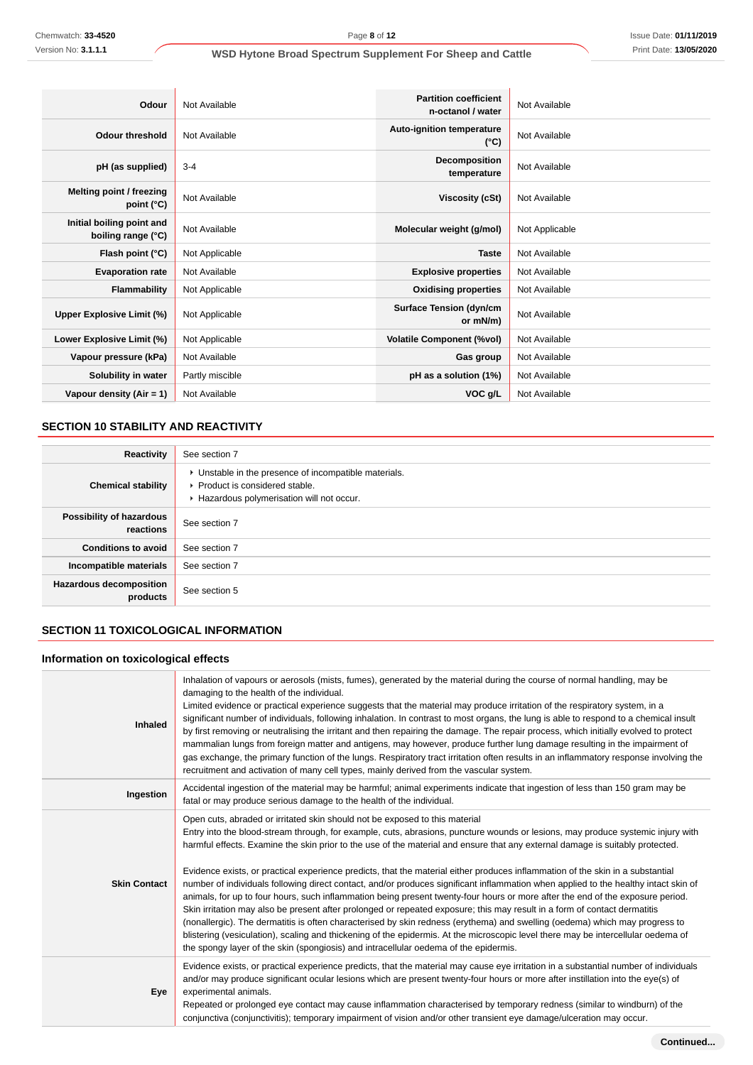| Odour                                           | Not Available   | <b>Partition coefficient</b><br>n-octanol / water | Not Available  |
|-------------------------------------------------|-----------------|---------------------------------------------------|----------------|
| <b>Odour threshold</b>                          | Not Available   | <b>Auto-ignition temperature</b><br>$(^{\circ}C)$ | Not Available  |
| pH (as supplied)                                | $3 - 4$         | <b>Decomposition</b><br>temperature               | Not Available  |
| Melting point / freezing<br>point (°C)          | Not Available   | Viscosity (cSt)                                   | Not Available  |
| Initial boiling point and<br>boiling range (°C) | Not Available   | Molecular weight (g/mol)                          | Not Applicable |
| Flash point (°C)                                | Not Applicable  | <b>Taste</b>                                      | Not Available  |
| <b>Evaporation rate</b>                         | Not Available   | <b>Explosive properties</b>                       | Not Available  |
| Flammability                                    | Not Applicable  | <b>Oxidising properties</b>                       | Not Available  |
| Upper Explosive Limit (%)                       | Not Applicable  | <b>Surface Tension (dyn/cm</b><br>or mN/m)        | Not Available  |
| Lower Explosive Limit (%)                       | Not Applicable  | <b>Volatile Component (%vol)</b>                  | Not Available  |
| Vapour pressure (kPa)                           | Not Available   | Gas group                                         | Not Available  |
| Solubility in water                             | Partly miscible | pH as a solution (1%)                             | Not Available  |
| Vapour density $(Air = 1)$                      | Not Available   | VOC g/L                                           | Not Available  |

## **SECTION 10 STABILITY AND REACTIVITY**

| Reactivity                                 | See section 7                                                                                                                        |
|--------------------------------------------|--------------------------------------------------------------------------------------------------------------------------------------|
| <b>Chemical stability</b>                  | • Unstable in the presence of incompatible materials.<br>▶ Product is considered stable.<br>Hazardous polymerisation will not occur. |
| Possibility of hazardous<br>reactions      | See section 7                                                                                                                        |
| <b>Conditions to avoid</b>                 | See section 7                                                                                                                        |
| Incompatible materials                     | See section 7                                                                                                                        |
| <b>Hazardous decomposition</b><br>products | See section 5                                                                                                                        |

## **SECTION 11 TOXICOLOGICAL INFORMATION**

## **Information on toxicological effects**

| <b>Inhaled</b>      | Inhalation of vapours or aerosols (mists, fumes), generated by the material during the course of normal handling, may be<br>damaging to the health of the individual.<br>Limited evidence or practical experience suggests that the material may produce irritation of the respiratory system, in a<br>significant number of individuals, following inhalation. In contrast to most organs, the lung is able to respond to a chemical insult<br>by first removing or neutralising the irritant and then repairing the damage. The repair process, which initially evolved to protect<br>mammalian lungs from foreign matter and antigens, may however, produce further lung damage resulting in the impairment of<br>gas exchange, the primary function of the lungs. Respiratory tract irritation often results in an inflammatory response involving the<br>recruitment and activation of many cell types, mainly derived from the vascular system.                                                                                                                                                                                                                                                                                               |
|---------------------|-----------------------------------------------------------------------------------------------------------------------------------------------------------------------------------------------------------------------------------------------------------------------------------------------------------------------------------------------------------------------------------------------------------------------------------------------------------------------------------------------------------------------------------------------------------------------------------------------------------------------------------------------------------------------------------------------------------------------------------------------------------------------------------------------------------------------------------------------------------------------------------------------------------------------------------------------------------------------------------------------------------------------------------------------------------------------------------------------------------------------------------------------------------------------------------------------------------------------------------------------------|
| Ingestion           | Accidental ingestion of the material may be harmful; animal experiments indicate that ingestion of less than 150 gram may be<br>fatal or may produce serious damage to the health of the individual.                                                                                                                                                                                                                                                                                                                                                                                                                                                                                                                                                                                                                                                                                                                                                                                                                                                                                                                                                                                                                                                |
| <b>Skin Contact</b> | Open cuts, abraded or irritated skin should not be exposed to this material<br>Entry into the blood-stream through, for example, cuts, abrasions, puncture wounds or lesions, may produce systemic injury with<br>harmful effects. Examine the skin prior to the use of the material and ensure that any external damage is suitably protected.<br>Evidence exists, or practical experience predicts, that the material either produces inflammation of the skin in a substantial<br>number of individuals following direct contact, and/or produces significant inflammation when applied to the healthy intact skin of<br>animals, for up to four hours, such inflammation being present twenty-four hours or more after the end of the exposure period.<br>Skin irritation may also be present after prolonged or repeated exposure; this may result in a form of contact dermatitis<br>(nonallergic). The dermatitis is often characterised by skin redness (erythema) and swelling (oedema) which may progress to<br>blistering (vesiculation), scaling and thickening of the epidermis. At the microscopic level there may be intercellular oedema of<br>the spongy layer of the skin (spongiosis) and intracellular oedema of the epidermis. |
| Eye                 | Evidence exists, or practical experience predicts, that the material may cause eye irritation in a substantial number of individuals<br>and/or may produce significant ocular lesions which are present twenty-four hours or more after instillation into the eye(s) of<br>experimental animals.<br>Repeated or prolonged eye contact may cause inflammation characterised by temporary redness (similar to windburn) of the<br>conjunctiva (conjunctivitis); temporary impairment of vision and/or other transient eye damage/ulceration may occur.                                                                                                                                                                                                                                                                                                                                                                                                                                                                                                                                                                                                                                                                                                |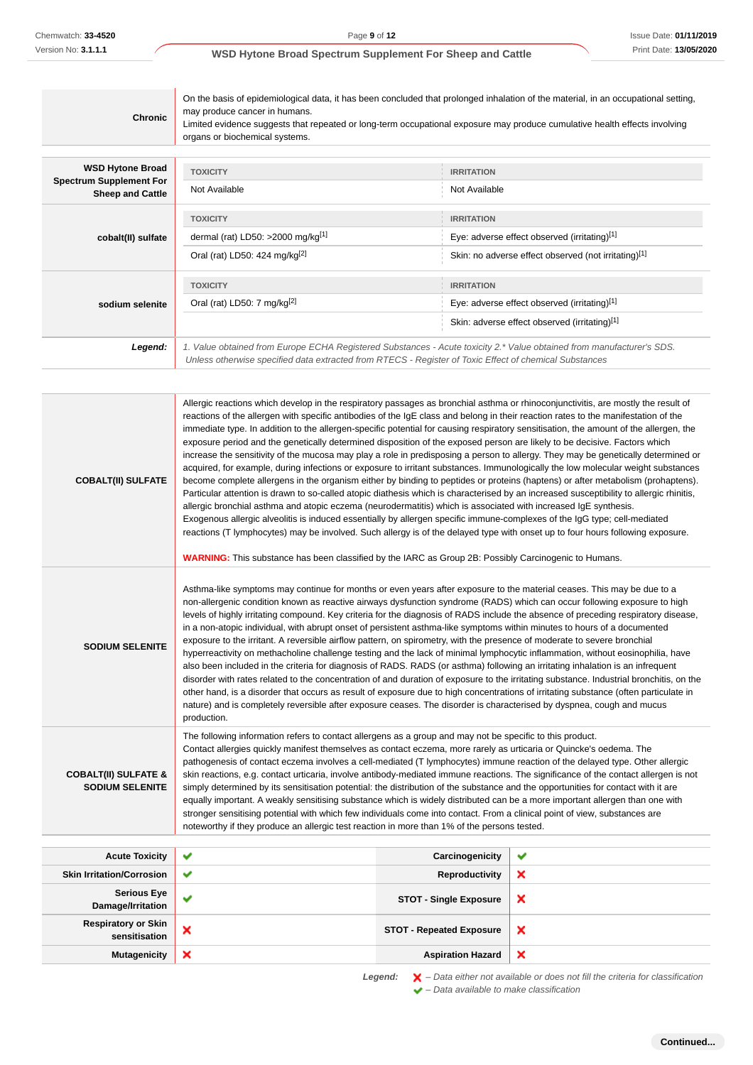| <b>Chronic</b>                                            | On the basis of epidemiological data, it has been concluded that prolonged inhalation of the material, in an occupational setting,<br>may produce cancer in humans.<br>Limited evidence suggests that repeated or long-term occupational exposure may produce cumulative health effects involving<br>organs or biochemical systems. |                                                      |  |  |
|-----------------------------------------------------------|-------------------------------------------------------------------------------------------------------------------------------------------------------------------------------------------------------------------------------------------------------------------------------------------------------------------------------------|------------------------------------------------------|--|--|
| <b>WSD Hytone Broad</b>                                   | <b>TOXICITY</b>                                                                                                                                                                                                                                                                                                                     | <b>IRRITATION</b>                                    |  |  |
| <b>Spectrum Supplement For</b><br><b>Sheep and Cattle</b> | Not Available                                                                                                                                                                                                                                                                                                                       | Not Available                                        |  |  |
|                                                           | <b>TOXICITY</b>                                                                                                                                                                                                                                                                                                                     | <b>IRRITATION</b>                                    |  |  |
| cobalt(II) sulfate                                        | dermal (rat) LD50: $>2000$ mg/kg <sup>[1]</sup>                                                                                                                                                                                                                                                                                     | Eye: adverse effect observed (irritating)[1]         |  |  |
|                                                           | Oral (rat) LD50: 424 mg/kg <sup>[2]</sup>                                                                                                                                                                                                                                                                                           | Skin: no adverse effect observed (not irritating)[1] |  |  |
|                                                           | <b>TOXICITY</b>                                                                                                                                                                                                                                                                                                                     | <b>IRRITATION</b>                                    |  |  |
| sodium selenite                                           | Oral (rat) LD50: 7 mg/kg <sup>[2]</sup>                                                                                                                                                                                                                                                                                             | Eye: adverse effect observed (irritating)[1]         |  |  |
|                                                           | Skin: adverse effect observed (irritating)[1]                                                                                                                                                                                                                                                                                       |                                                      |  |  |
| Legend:                                                   | 1. Value obtained from Europe ECHA Registered Substances - Acute toxicity 2.* Value obtained from manufacturer's SDS.<br>Unless otherwise specified data extracted from RTECS - Register of Toxic Effect of chemical Substances                                                                                                     |                                                      |  |  |

| <b>COBALT(II) SULFATE</b>                                 | Allergic reactions which develop in the respiratory passages as bronchial asthma or rhinoconjunctivitis, are mostly the result of<br>reactions of the allergen with specific antibodies of the IgE class and belong in their reaction rates to the manifestation of the<br>immediate type. In addition to the allergen-specific potential for causing respiratory sensitisation, the amount of the allergen, the<br>exposure period and the genetically determined disposition of the exposed person are likely to be decisive. Factors which<br>increase the sensitivity of the mucosa may play a role in predisposing a person to allergy. They may be genetically determined or<br>acquired, for example, during infections or exposure to irritant substances. Immunologically the low molecular weight substances<br>become complete allergens in the organism either by binding to peptides or proteins (haptens) or after metabolism (prohaptens).<br>Particular attention is drawn to so-called atopic diathesis which is characterised by an increased susceptibility to allergic rhinitis,<br>allergic bronchial asthma and atopic eczema (neurodermatitis) which is associated with increased IgE synthesis.<br>Exogenous allergic alveolitis is induced essentially by allergen specific immune-complexes of the IgG type; cell-mediated<br>reactions (T lymphocytes) may be involved. Such allergy is of the delayed type with onset up to four hours following exposure.<br><b>WARNING:</b> This substance has been classified by the IARC as Group 2B: Possibly Carcinogenic to Humans. |                                 |                                                                                                                                         |
|-----------------------------------------------------------|--------------------------------------------------------------------------------------------------------------------------------------------------------------------------------------------------------------------------------------------------------------------------------------------------------------------------------------------------------------------------------------------------------------------------------------------------------------------------------------------------------------------------------------------------------------------------------------------------------------------------------------------------------------------------------------------------------------------------------------------------------------------------------------------------------------------------------------------------------------------------------------------------------------------------------------------------------------------------------------------------------------------------------------------------------------------------------------------------------------------------------------------------------------------------------------------------------------------------------------------------------------------------------------------------------------------------------------------------------------------------------------------------------------------------------------------------------------------------------------------------------------------------------------------------------------------------------------------------------|---------------------------------|-----------------------------------------------------------------------------------------------------------------------------------------|
| <b>SODIUM SELENITE</b>                                    | Asthma-like symptoms may continue for months or even years after exposure to the material ceases. This may be due to a<br>non-allergenic condition known as reactive airways dysfunction syndrome (RADS) which can occur following exposure to high<br>levels of highly irritating compound. Key criteria for the diagnosis of RADS include the absence of preceding respiratory disease,<br>in a non-atopic individual, with abrupt onset of persistent asthma-like symptoms within minutes to hours of a documented<br>exposure to the irritant. A reversible airflow pattern, on spirometry, with the presence of moderate to severe bronchial<br>hyperreactivity on methacholine challenge testing and the lack of minimal lymphocytic inflammation, without eosinophilia, have<br>also been included in the criteria for diagnosis of RADS. RADS (or asthma) following an irritating inhalation is an infrequent<br>other hand, is a disorder that occurs as result of exposure due to high concentrations of irritating substance (often particulate in<br>nature) and is completely reversible after exposure ceases. The disorder is characterised by dyspnea, cough and mucus<br>production.                                                                                                                                                                                                                                                                                                                                                                                                  |                                 | disorder with rates related to the concentration of and duration of exposure to the irritating substance. Industrial bronchitis, on the |
| <b>COBALT(II) SULFATE &amp;</b><br><b>SODIUM SELENITE</b> | The following information refers to contact allergens as a group and may not be specific to this product.<br>Contact allergies quickly manifest themselves as contact eczema, more rarely as urticaria or Quincke's oedema. The<br>pathogenesis of contact eczema involves a cell-mediated (T lymphocytes) immune reaction of the delayed type. Other allergic<br>skin reactions, e.g. contact urticaria, involve antibody-mediated immune reactions. The significance of the contact allergen is not<br>simply determined by its sensitisation potential: the distribution of the substance and the opportunities for contact with it are<br>equally important. A weakly sensitising substance which is widely distributed can be a more important allergen than one with<br>stronger sensitising potential with which few individuals come into contact. From a clinical point of view, substances are<br>noteworthy if they produce an allergic test reaction in more than 1% of the persons tested.                                                                                                                                                                                                                                                                                                                                                                                                                                                                                                                                                                                                |                                 |                                                                                                                                         |
| <b>Acute Toxicity</b>                                     | ✔                                                                                                                                                                                                                                                                                                                                                                                                                                                                                                                                                                                                                                                                                                                                                                                                                                                                                                                                                                                                                                                                                                                                                                                                                                                                                                                                                                                                                                                                                                                                                                                                      | Carcinogenicity                 | ✔                                                                                                                                       |
| <b>Skin Irritation/Corrosion</b>                          | ✔                                                                                                                                                                                                                                                                                                                                                                                                                                                                                                                                                                                                                                                                                                                                                                                                                                                                                                                                                                                                                                                                                                                                                                                                                                                                                                                                                                                                                                                                                                                                                                                                      | Reproductivity                  | ×                                                                                                                                       |
| <b>Serious Eye</b><br>Damage/Irritation                   | ✔                                                                                                                                                                                                                                                                                                                                                                                                                                                                                                                                                                                                                                                                                                                                                                                                                                                                                                                                                                                                                                                                                                                                                                                                                                                                                                                                                                                                                                                                                                                                                                                                      | <b>STOT - Single Exposure</b>   | ×                                                                                                                                       |
| <b>Respiratory or Skin</b><br>sensitisation               | ×                                                                                                                                                                                                                                                                                                                                                                                                                                                                                                                                                                                                                                                                                                                                                                                                                                                                                                                                                                                                                                                                                                                                                                                                                                                                                                                                                                                                                                                                                                                                                                                                      | <b>STOT - Repeated Exposure</b> | ×                                                                                                                                       |
| <b>Mutagenicity</b>                                       | ×                                                                                                                                                                                                                                                                                                                                                                                                                                                                                                                                                                                                                                                                                                                                                                                                                                                                                                                                                                                                                                                                                                                                                                                                                                                                                                                                                                                                                                                                                                                                                                                                      | <b>Aspiration Hazard</b>        | ×                                                                                                                                       |

Legend:  $\mathsf{X}$  - Data either not available or does not fill the criteria for classification  $\blacktriangleright$  – Data available to make classification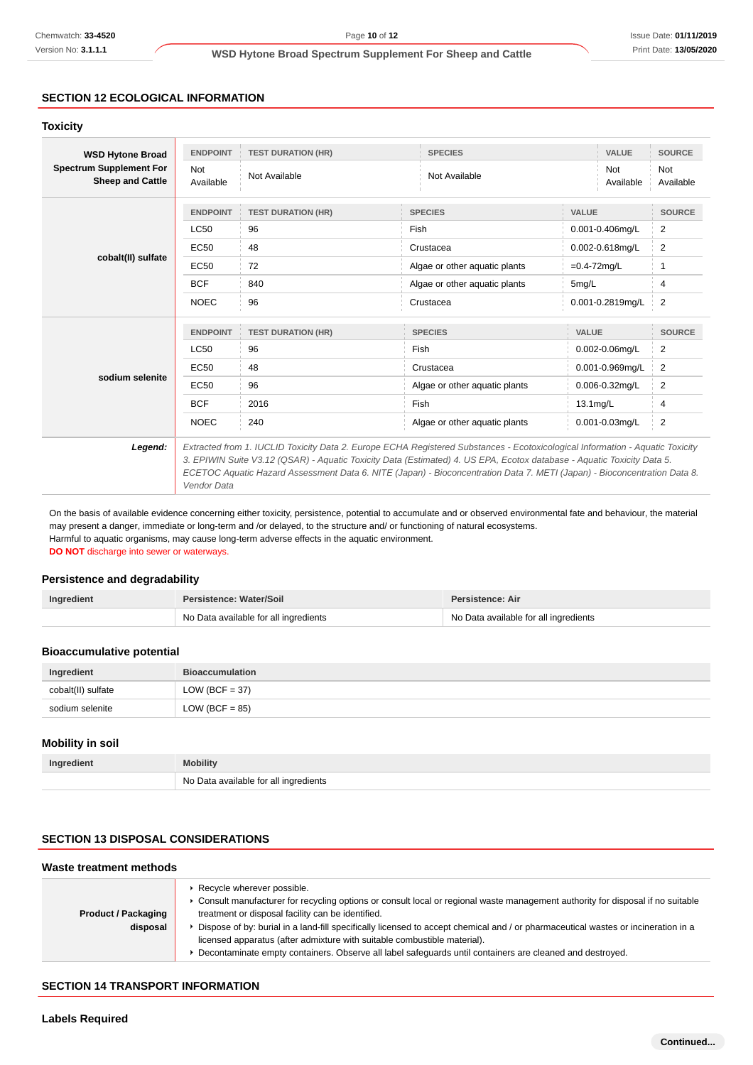## **SECTION 12 ECOLOGICAL INFORMATION**

#### **Toxicity**

| <b>WSD Hytone Broad</b><br><b>Spectrum Supplement For</b><br><b>Sheep and Cattle</b> | <b>ENDPOINT</b>                                                                                                                                                                                                                                    | <b>TEST DURATION (HR)</b> | <b>SPECIES</b>                | VALUE                   | <b>SOURCE</b>           |
|--------------------------------------------------------------------------------------|----------------------------------------------------------------------------------------------------------------------------------------------------------------------------------------------------------------------------------------------------|---------------------------|-------------------------------|-------------------------|-------------------------|
|                                                                                      | <b>Not</b><br>Available                                                                                                                                                                                                                            | Not Available             | Not Available                 | <b>Not</b><br>Available | <b>Not</b><br>Available |
|                                                                                      | <b>ENDPOINT</b>                                                                                                                                                                                                                                    | <b>TEST DURATION (HR)</b> | <b>SPECIES</b>                | <b>VALUE</b>            | <b>SOURCE</b>           |
|                                                                                      | LC50                                                                                                                                                                                                                                               | 96                        | Fish                          | 0.001-0.406mg/L         | 2                       |
|                                                                                      | EC50                                                                                                                                                                                                                                               | 48                        | Crustacea                     | 0.002-0.618mg/L         | $\overline{2}$          |
| cobalt(II) sulfate                                                                   | EC50                                                                                                                                                                                                                                               | 72                        | Algae or other aquatic plants | $=0.4 - 72$ mg/L        | 1                       |
|                                                                                      | <b>BCF</b>                                                                                                                                                                                                                                         | 840                       | Algae or other aquatic plants | 5mg/L                   | 4                       |
|                                                                                      | <b>NOEC</b>                                                                                                                                                                                                                                        | 96                        | Crustacea                     | 0.001-0.2819mg/L        | 2                       |
|                                                                                      | <b>ENDPOINT</b>                                                                                                                                                                                                                                    | <b>TEST DURATION (HR)</b> | <b>SPECIES</b>                | <b>VALUE</b>            | <b>SOURCE</b>           |
|                                                                                      | LC50                                                                                                                                                                                                                                               | 96                        | Fish                          | $0.002 - 0.06$ mg/L     | $\overline{\mathbf{c}}$ |
|                                                                                      | EC50                                                                                                                                                                                                                                               | 48                        | Crustacea                     | 0.001-0.969mg/L         | 2                       |
| sodium selenite                                                                      | EC50                                                                                                                                                                                                                                               | 96                        | Algae or other aguatic plants | 0.006-0.32mg/L          | 2                       |
|                                                                                      | <b>BCF</b>                                                                                                                                                                                                                                         | 2016                      | Fish                          | $13.1$ mg/L             | 4                       |
|                                                                                      | <b>NOEC</b>                                                                                                                                                                                                                                        | 240                       | Algae or other aquatic plants | $0.001 - 0.03$ mg/L     | $\overline{2}$          |
| Legend:                                                                              | Extracted from 1. IUCLID Toxicity Data 2. Europe ECHA Registered Substances - Ecotoxicological Information - Aquatic Toxicity                                                                                                                      |                           |                               |                         |                         |
|                                                                                      | 3. EPIWIN Suite V3.12 (QSAR) - Aquatic Toxicity Data (Estimated) 4. US EPA, Ecotox database - Aquatic Toxicity Data 5.<br>ECETOC Aquatic Hazard Assessment Data 6. NITE (Japan) - Bioconcentration Data 7. METI (Japan) - Bioconcentration Data 8. |                           |                               |                         |                         |

On the basis of available evidence concerning either toxicity, persistence, potential to accumulate and or observed environmental fate and behaviour, the material may present a danger, immediate or long-term and /or delayed, to the structure and/ or functioning of natural ecosystems. Harmful to aquatic organisms, may cause long-term adverse effects in the aquatic environment.

**DO NOT** discharge into sewer or waterways.

Vendor Data

## **Persistence and degradability**

| Ingredient | Persistence: Water/Soil               | <b>Persistence: Air</b>               |  |
|------------|---------------------------------------|---------------------------------------|--|
|            | No Data available for all ingredients | No Data available for all ingredients |  |

#### **Bioaccumulative potential**

| Ingredient         | <b>Bioaccumulation</b> |  |
|--------------------|------------------------|--|
| cobalt(II) sulfate | $LOW (BCF = 37)$       |  |
| sodium selenite    | $LOW (BCF = 85)$       |  |

## **Mobility in soil**

| Ingredient | <b>Mobility</b>                       |  |
|------------|---------------------------------------|--|
|            | No Data available for all ingredients |  |

## **SECTION 13 DISPOSAL CONSIDERATIONS**

| Waste treatment methods                |                                                                                                                                                                                                                                                                                                                                                                                                                                                                                                                                                  |  |
|----------------------------------------|--------------------------------------------------------------------------------------------------------------------------------------------------------------------------------------------------------------------------------------------------------------------------------------------------------------------------------------------------------------------------------------------------------------------------------------------------------------------------------------------------------------------------------------------------|--|
| <b>Product / Packaging</b><br>disposal | Recycle wherever possible.<br>▶ Consult manufacturer for recycling options or consult local or regional waste management authority for disposal if no suitable<br>treatment or disposal facility can be identified.<br>Dispose of by: burial in a land-fill specifically licensed to accept chemical and / or pharmaceutical wastes or incineration in a<br>licensed apparatus (after admixture with suitable combustible material).<br>Decontaminate empty containers. Observe all label safeguards until containers are cleaned and destroyed. |  |

### **SECTION 14 TRANSPORT INFORMATION**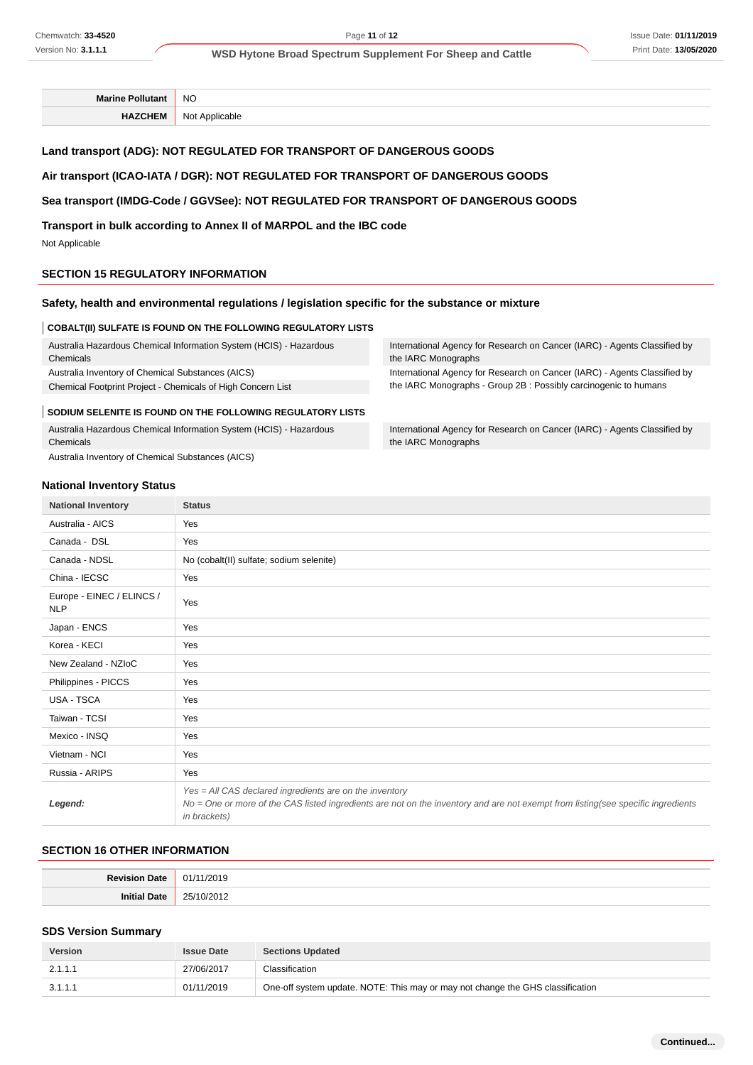**Marine Pollutant** NO **HAZCHEM** Not Applicable

## **Land transport (ADG): NOT REGULATED FOR TRANSPORT OF DANGEROUS GOODS**

#### **Air transport (ICAO-IATA / DGR): NOT REGULATED FOR TRANSPORT OF DANGEROUS GOODS**

### **Sea transport (IMDG-Code / GGVSee): NOT REGULATED FOR TRANSPORT OF DANGEROUS GOODS**

**Transport in bulk according to Annex II of MARPOL and the IBC code**

Not Applicable

#### **SECTION 15 REGULATORY INFORMATION**

#### **Safety, health and environmental regulations / legislation specific for the substance or mixture**

#### **COBALT(II) SULFATE IS FOUND ON THE FOLLOWING REGULATORY LISTS**

Australia Hazardous Chemical Information System (HCIS) - Hazardous Chemicals Australia Inventory of Chemical Substances (AICS)

Chemical Footprint Project - Chemicals of High Concern List

#### **SODIUM SELENITE IS FOUND ON THE FOLLOWING REGULATORY LISTS**

Australia Hazardous Chemical Information System (HCIS) - Hazardous

Chemicals Australia Inventory of Chemical Substances (AICS) International Agency for Research on Cancer (IARC) - Agents Classified by the IARC Monographs

International Agency for Research on Cancer (IARC) - Agents Classified by the IARC Monographs - Group 2B : Possibly carcinogenic to humans

International Agency for Research on Cancer (IARC) - Agents Classified by the IARC Monographs

#### **National Inventory Status**

| <b>National Inventory</b>               | <b>Status</b>                                                                                                                                                                                               |  |  |
|-----------------------------------------|-------------------------------------------------------------------------------------------------------------------------------------------------------------------------------------------------------------|--|--|
| Australia - AICS                        | Yes                                                                                                                                                                                                         |  |  |
| Canada - DSL                            | Yes                                                                                                                                                                                                         |  |  |
| Canada - NDSL                           | No (cobalt(II) sulfate; sodium selenite)                                                                                                                                                                    |  |  |
| China - IECSC                           | Yes                                                                                                                                                                                                         |  |  |
| Europe - EINEC / ELINCS /<br><b>NLP</b> | Yes                                                                                                                                                                                                         |  |  |
| Japan - ENCS                            | Yes                                                                                                                                                                                                         |  |  |
| Korea - KECI                            | Yes                                                                                                                                                                                                         |  |  |
| New Zealand - NZIoC                     | Yes                                                                                                                                                                                                         |  |  |
| Philippines - PICCS                     | Yes                                                                                                                                                                                                         |  |  |
| USA - TSCA                              | Yes                                                                                                                                                                                                         |  |  |
| Taiwan - TCSI                           | Yes                                                                                                                                                                                                         |  |  |
| Mexico - INSQ                           | Yes                                                                                                                                                                                                         |  |  |
| Vietnam - NCI                           | Yes                                                                                                                                                                                                         |  |  |
| Russia - ARIPS                          | Yes                                                                                                                                                                                                         |  |  |
| Legend:                                 | Yes = All CAS declared ingredients are on the inventory<br>No = One or more of the CAS listed ingredients are not on the inventory and are not exempt from listing(see specific ingredients<br>in brackets) |  |  |

## **SECTION 16 OTHER INFORMATION**

| $\sim$        |
|---------------|
| $\sim$ $\sim$ |

#### **SDS Version Summary**

| <b>Version</b> | <b>Issue Date</b> | <b>Sections Updated</b>                                                        |
|----------------|-------------------|--------------------------------------------------------------------------------|
| 2.1.1.1        | 27/06/2017        | Classification                                                                 |
| 3.1.1.1        | 01/11/2019        | One-off system update. NOTE: This may or may not change the GHS classification |